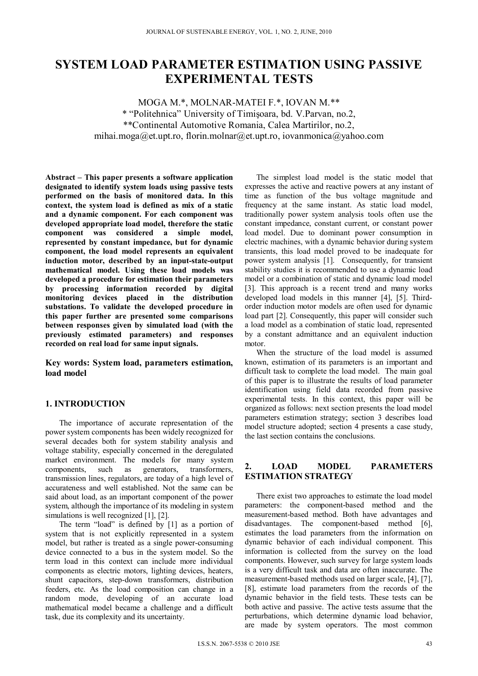# **SYSTEM LOAD PARAMETER ESTIMATION USING PASSIVE EXPERIMENTAL TESTS**

MOGA M.\*, MOLNAR-MATEI F.\*, IOVAN M.\*\* \* "Politehnica" University of Timişoara, bd. V.Parvan, no.2, \*\*Continental Automotive Romania, Calea Martirilor, no.2, mihai.moga@et.upt.ro, florin.molnar@et.upt.ro, iovanmonica@yahoo.com

**Abstract – This paper presents a software application designated to identify system loads using passive tests performed on the basis of monitored data. In this context, the system load is defined as mix of a static and a dynamic component. For each component was developed appropriate load model, therefore the static component was considered a simple model, represented by constant impedance, but for dynamic component, the load model represents an equivalent induction motor, described by an input-state-output mathematical model. Using these load models was developed a procedure for estimation their parameters by processing information recorded by digital monitoring devices placed in the distribution substations. To validate the developed procedure in this paper further are presented some comparisons between responses given by simulated load (with the previously estimated parameters) and responses recorded on real load for same input signals.** 

**Key words: System load, parameters estimation, load model** 

# **1. INTRODUCTION**

The importance of accurate representation of the power system components has been widely recognized for several decades both for system stability analysis and voltage stability, especially concerned in the deregulated market environment. The models for many system components, such as generators, transformers, transmission lines, regulators, are today of a high level of accurateness and well established. Not the same can be said about load, as an important component of the power system, although the importance of its modeling in system simulations is well recognized [1], [2].

The term "load" is defined by [1] as a portion of system that is not explicitly represented in a system model, but rather is treated as a single power-consuming device connected to a bus in the system model. So the term load in this context can include more individual components as electric motors, lighting devices, heaters, shunt capacitors, step-down transformers, distribution feeders, etc. As the load composition can change in a random mode, developing of an accurate load mathematical model became a challenge and a difficult task, due its complexity and its uncertainty.

The simplest load model is the static model that expresses the active and reactive powers at any instant of time as function of the bus voltage magnitude and frequency at the same instant. As static load model, traditionally power system analysis tools often use the constant impedance, constant current, or constant power load model. Due to dominant power consumption in electric machines, with a dynamic behavior during system transients, this load model proved to be inadequate for power system analysis [1]. Consequently, for transient stability studies it is recommended to use a dynamic load model or a combination of static and dynamic load model [3]. This approach is a recent trend and many works developed load models in this manner [4], [5]. Thirdorder induction motor models are often used for dynamic load part [2]. Consequently, this paper will consider such a load model as a combination of static load, represented by a constant admittance and an equivalent induction motor.

When the structure of the load model is assumed known, estimation of its parameters is an important and difficult task to complete the load model. The main goal of this paper is to illustrate the results of load parameter identification using field data recorded from passive experimental tests. In this context, this paper will be organized as follows: next section presents the load model parameters estimation strategy; section 3 describes load model structure adopted; section 4 presents a case study, the last section contains the conclusions.

# **2. LOAD MODEL PARAMETERS ESTIMATION STRATEGY**

There exist two approaches to estimate the load model parameters: the component-based method and the measurement-based method. Both have advantages and disadvantages. The component-based method [6], estimates the load parameters from the information on dynamic behavior of each individual component. This information is collected from the survey on the load components. However, such survey for large system loads is a very difficult task and data are often inaccurate. The measurement-based methods used on larger scale, [4], [7], [8], estimate load parameters from the records of the dynamic behavior in the field tests. These tests can be both active and passive. The active tests assume that the perturbations, which determine dynamic load behavior, are made by system operators. The most common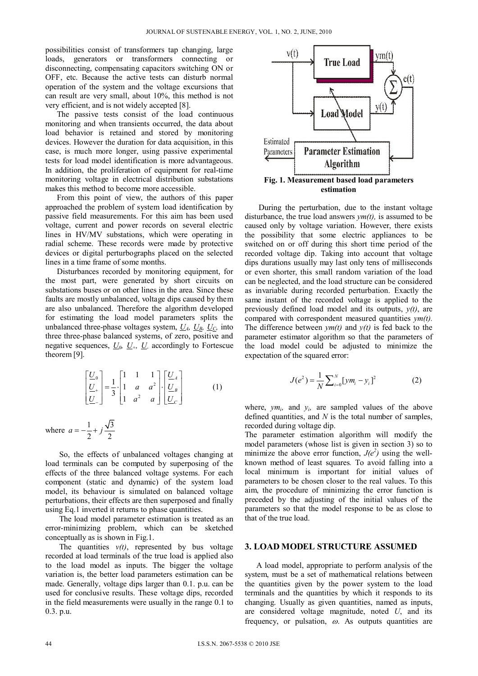possibilities consist of transformers tap changing, large loads, generators or transformers connecting or disconnecting, compensating capacitors switching ON or OFF, etc. Because the active tests can disturb normal operation of the system and the voltage excursions that can result are very small, about 10%, this method is not very efficient, and is not widely accepted [8].

The passive tests consist of the load continuous monitoring and when transients occurred, the data about load behavior is retained and stored by monitoring devices. However the duration for data acquisition, in this case, is much more longer, using passive experimental tests for load model identification is more advantageous. In addition, the proliferation of equipment for real-time monitoring voltage in electrical distribution substations makes this method to become more accessible.

From this point of view, the authors of this paper approached the problem of system load identification by passive field measurements. For this aim has been used voltage, current and power records on several electric lines in HV/MV substations, which were operating in radial scheme. These records were made by protective devices or digital perturbographs placed on the selected lines in a time frame of some months.

Disturbances recorded by monitoring equipment, for the most part, were generated by short circuits on substations buses or on other lines in the area. Since these faults are mostly unbalanced, voltage dips caused by them are also unbalanced. Therefore the algorithm developed for estimating the load model parameters splits the unbalanced three-phase voltages system,  $U_A$ ,  $U_B$ ,  $U_C$ , into three three-phase balanced systems, of zero, positive and negative sequences,  $U_0$ ,  $U_+$ ,  $U_-$  accordingly to Fortescue theorem [9].

$$
\begin{bmatrix} \underline{U}_0 \\ \underline{U}_+ \\ \underline{U}_- \end{bmatrix} = \frac{1}{3} \cdot \begin{bmatrix} 1 & 1 & 1 \\ 1 & a & a^2 \\ 1 & a^2 & a \end{bmatrix} \cdot \begin{bmatrix} \underline{U}_A \\ \underline{U}_B \\ \underline{U}_C \end{bmatrix}
$$
 (1)

where  $a = -\frac{1}{2} + j\frac{\sqrt{3}}{2}$ 

So, the effects of unbalanced voltages changing at load terminals can be computed by superposing of the effects of the three balanced voltage systems. For each component (static and dynamic) of the system load model, its behaviour is simulated on balanced voltage perturbations, their effects are then superposed and finally using Eq.1 inverted it returns to phase quantities.

The load model parameter estimation is treated as an error-minimizing problem, which can be sketched conceptually as is shown in Fig.1.

The quantities  $v(t)$ , represented by bus voltage recorded at load terminals of the true load is applied also to the load model as inputs. The bigger the voltage variation is, the better load parameters estimation can be made. Generally, voltage dips larger than 0.1. p.u. can be used for conclusive results. These voltage dips, recorded in the field measurements were usually in the range 0.1 to 0.3. p.u.



During the perturbation, due to the instant voltage disturbance, the true load answers *ym(t),* is assumed to be caused only by voltage variation. However, there exists the possibility that some electric appliances to be switched on or off during this short time period of the recorded voltage dip. Taking into account that voltage dips durations usually may last only tens of milliseconds or even shorter, this small random variation of the load can be neglected, and the load structure can be considered as invariable during recorded perturbation. Exactly the same instant of the recorded voltage is applied to the previously defined load model and its outputs, *y(t)*, are compared with correspondent measured quantities *ym(t).*  The difference between  $y m(t)$  and  $y(t)$  is fed back to the parameter estimator algorithm so that the parameters of the load model could be adjusted to minimize the expectation of the squared error:

$$
J(e^2) = \frac{1}{N} \sum_{i=0}^{N} [ym_i - y_i]^2
$$
 (2)

where,  $y m_i$ , and  $y_i$ , are sampled values of the above defined quantities, and *N* is the total number of samples, recorded during voltage dip.

The parameter estimation algorithm will modify the model parameters (whose list is given in section 3) so to minimize the above error function,  $J(e^2)$  using the wellknown method of least squares*.* To avoid falling into a local minimum is important for initial values of parameters to be chosen closer to the real values. To this aim, the procedure of minimizing the error function is preceded by the adjusting of the initial values of the parameters so that the model response to be as close to that of the true load.

### **3. LOAD MODEL STRUCTURE ASSUMED**

A load model, appropriate to perform analysis of the system, must be a set of mathematical relations between the quantities given by the power system to the load terminals and the quantities by which it responds to its changing. Usually as given quantities, named as inputs, are considered voltage magnitude, noted *U*, and its frequency, or pulsation,  $\omega$ . As outputs quantities are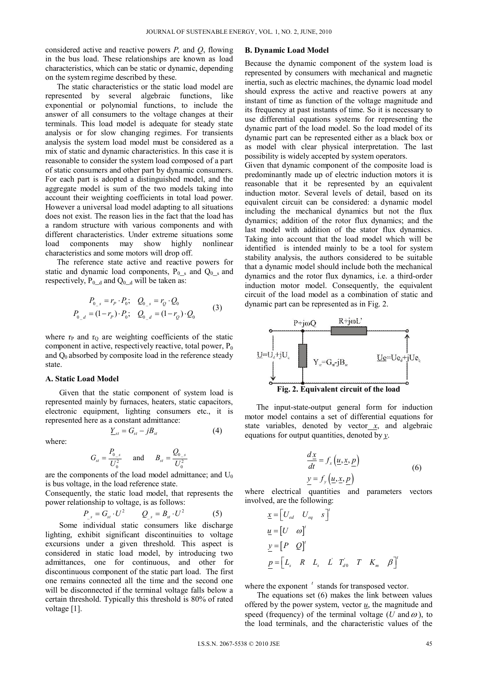considered active and reactive powers *P,* and *Q*, flowing in the bus load. These relationships are known as load characteristics, which can be static or dynamic, depending on the system regime described by these.

The static characteristics or the static load model are represented by several algebraic functions, like exponential or polynomial functions, to include the answer of all consumers to the voltage changes at their terminals. This load model is adequate for steady state analysis or for slow changing regimes. For transients analysis the system load model must be considered as a mix of static and dynamic characteristics. In this case it is reasonable to consider the system load composed of a part of static consumers and other part by dynamic consumers. For each part is adopted a distinguished model, and the aggregate model is sum of the two models taking into account their weighting coefficients in total load power. However a universal load model adapting to all situations does not exist. The reason lies in the fact that the load has a random structure with various components and with different characteristics. Under extreme situations some load components may show highly nonlinear characteristics and some motors will drop off.

The reference state active and reactive powers for static and dynamic load components,  $P_{0,s}$  and  $Q_{0,s}$  and respectively,  $P_{0_d}$  and  $Q_{0_d}$  will be taken as:

$$
P_{0_s} = r_p \cdot P_0; \quad Q_{0_s} = r_Q \cdot Q_0
$$
  
\n
$$
P_{0_d} = (1 - r_p) \cdot P_0; \quad Q_{0_d} = (1 - r_Q) \cdot Q_0
$$
 (3)

where  $r_{P}$  and  $r_{Q}$  are weighting coefficients of the static component in active, respectively reactive, total power,  $P_0$ and  $Q_0$  absorbed by composite load in the reference steady state.

#### **A. Static Load Model**

Given that the static component of system load is represented mainly by furnaces, heaters, static capacitors, electronic equipment, lighting consumers etc., it is represented here as a constant admittance:

$$
\underline{Y}_{st} = G_{st} - jB_{st} \tag{4}
$$

where:

$$
G_{st} = \frac{P_{0_s}}{U_0^2}
$$
 and  $B_{st} = \frac{Q_{0_s}}{U_0^2}$ 

are the components of the load model admittance; and  $U_0$ is bus voltage, in the load reference state.

Consequently, the static load model, that represents the power relationship to voltage, is as follows:

$$
P_{s} = G_{st} \cdot U^{2} \qquad Q_{s} = B_{st} \cdot U^{2} \qquad (5)
$$

Some individual static consumers like discharge lighting, exhibit significant discontinuities to voltage excursions under a given threshold. This aspect is considered in static load model, by introducing two admittances, one for continuous, and other for discontinuous component of the static part load. The first one remains connected all the time and the second one will be disconnected if the terminal voltage falls below a certain threshold. Typically this threshold is 80% of rated voltage [1].

#### **B. Dynamic Load Model**

Because the dynamic component of the system load is represented by consumers with mechanical and magnetic inertia, such as electric machines, the dynamic load model should express the active and reactive powers at any instant of time as function of the voltage magnitude and its frequency at past instants of time. So it is necessary to use differential equations systems for representing the dynamic part of the load model. So the load model of its dynamic part can be represented either as a black box or as model with clear physical interpretation. The last possibility is widely accepted by system operators.

Given that dynamic component of the composite load is predominantly made up of electric induction motors it is reasonable that it be represented by an equivalent induction motor. Several levels of detail, based on its equivalent circuit can be considered: a dynamic model including the mechanical dynamics but not the flux dynamics; addition of the rotor flux dynamics; and the last model with addition of the stator flux dynamics. Taking into account that the load model which will be identified is intended mainly to be a tool for system stability analysis, the authors considered to be suitable that a dynamic model should include both the mechanical dynamics and the rotor flux dynamics, i.e. a third-order induction motor model. Consequently, the equivalent circuit of the load model as a combination of static and dynamic part can be represented as in Fig. 2.



The input-state-output general form for induction motor model contains a set of differential equations for state variables, denoted by vector<sub> $\dot{x}$ </sub>, and algebraic equations for output quantities, denoted by *y*.

$$
\frac{dx}{dt} = f_x(\underline{u}, \underline{x}, \underline{p})
$$
  
\n
$$
y = f_y(\underline{u}, \underline{x}, p)
$$
 (6)

where electrical quantities and parameters vectors involved, are the following:

$$
\underline{x} = \begin{bmatrix} U_{ed} & U_{eq} & s \end{bmatrix}^{t}
$$
  
\n
$$
\underline{u} = \begin{bmatrix} U & \omega \end{bmatrix}^{t}
$$
  
\n
$$
\underline{y} = \begin{bmatrix} P & Q \end{bmatrix}^{t}
$$
  
\n
$$
\underline{p} = \begin{bmatrix} L_s & R & L_s & L & T_{d0} & T & K_m & \beta \end{bmatrix}^{t}
$$

where the exponent <sup>t</sup> stands for transposed vector.

 The equations set (6) makes the link between values offered by the power system, vector  $u$ , the magnitude and</u> speed (frequency) of the terminal voltage (*U* and  $\omega$ ), to the load terminals, and the characteristic values of the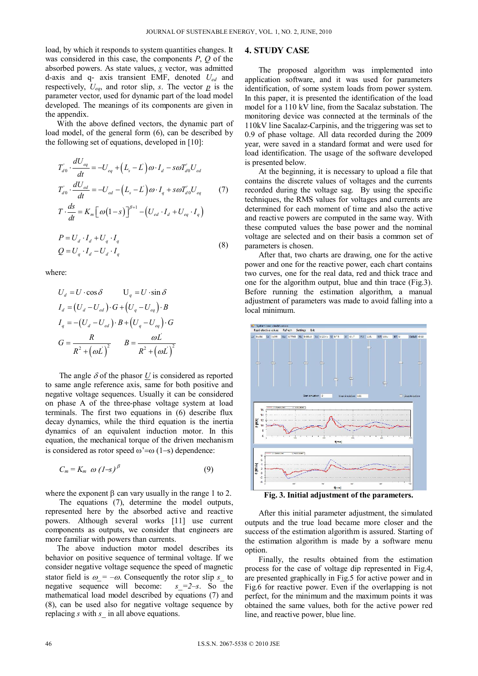load, by which it responds to system quantities changes. It was considered in this case, the components *P*, *Q* of the absorbed powers. As state values, *x* vector, was admitted d-axis and q- axis transient EMF, denoted *Ued* and respectively,  $U_{ea}$ , and rotor slip, *s*. The vector  $p$  is the parameter vector, used for dynamic part of the load model developed. The meanings of its components are given in the appendix.

With the above defined vectors, the dynamic part of load model, of the general form (6), can be described by the following set of equations, developed in [10]:

$$
T'_{d0} \cdot \frac{dU_{eq}}{dt} = -U_{eq} + (L_s - L')\omega \cdot I_d - s\omega T'_{d0}U_{ed}
$$
  
\n
$$
T'_{d0} \cdot \frac{dU_{ed}}{dt} = -U_{ed} - (L_s - L')\omega \cdot I_q + s\omega T'_{d0}U_{eq}
$$
 (7)  
\n
$$
T \cdot \frac{ds}{dt} = K_m \left[\omega(1-s)\right]^{\beta+1} - (U_{ed} \cdot I_d + U_{eq} \cdot I_q)
$$
  
\n
$$
P = U_d \cdot I_d + U_q \cdot I_q
$$
 (8)

where:

$$
U_{d} = U \cdot \cos \delta \qquad U_{q} = U \cdot \sin \delta
$$
  
\n
$$
I_{d} = (U_{d} - U_{ed}) \cdot G + (U_{q} - U_{eq}) \cdot B
$$
  
\n
$$
I_{q} = -(U_{d} - U_{ed}) \cdot B + (U_{q} - U_{eq}) \cdot G
$$
  
\n
$$
G = \frac{R}{R^{2} + (\omega L)^{2}} \qquad B = \frac{\omega L}{R^{2} + (\omega L)^{2}}
$$

The angle  $\delta$  of the phasor U is considered as reported to same angle reference axis, same for both positive and negative voltage sequences. Usually it can be considered on phase A of the three-phase voltage system at load terminals. The first two equations in (6) describe flux decay dynamics, while the third equation is the inertia dynamics of an equivalent induction motor. In this equation, the mechanical torque of the driven mechanism is considered as rotor speed  $\omega' = \omega (1-s)$  dependence:

$$
C_m = K_m \omega (1-s)^{\beta} \tag{9}
$$

where the exponent  $\beta$  can vary usually in the range 1 to 2.

The equations (7), determine the model outputs, represented here by the absorbed active and reactive powers. Although several works [11] use current components as outputs, we consider that engineers are more familiar with powers than currents.

The above induction motor model describes its behavior on positive sequence of terminal voltage. If we consider negative voltage sequence the speed of magnetic stator field is  $\omega = -\omega$ . Consequently the rotor slip *s*\_ to negative sequence will become: *s*\_=2-s. So the negative sequence will become: mathematical load model described by equations (7) and (8), can be used also for negative voltage sequence by replacing *s* with *s\_* in all above equations.

# **4. STUDY CASE**

The proposed algorithm was implemented into application software, and it was used for parameters identification, of some system loads from power system. In this paper, it is presented the identification of the load model for a 110 kV line, from the Sacalaz substation. The monitoring device was connected at the terminals of the 110kV line Sacalaz-Carpinis, and the triggering was set to 0.9 of phase voltage. All data recorded during the 2009 year, were saved in a standard format and were used for load identification. The usage of the software developed is presented below.

At the beginning, it is necessary to upload a file that contains the discrete values of voltages and the currents recorded during the voltage sag. By using the specific techniques, the RMS values for voltages and currents are determined for each moment of time and also the active and reactive powers are computed in the same way. With these computed values the base power and the nominal voltage are selected and on their basis a common set of parameters is chosen.

After that, two charts are drawing, one for the active power and one for the reactive power, each chart contains two curves, one for the real data, red and thick trace and one for the algorithm output, blue and thin trace (Fig.3). Before running the estimation algorithm, a manual adjustment of parameters was made to avoid falling into a local minimum.



**Fig. 3. Initial adjustment of the parameters.** 

After this initial parameter adjustment, the simulated outputs and the true load became more closer and the success of the estimation algorithm is assured. Starting of the estimation algorithm is made by a software menu option.

Finally, the results obtained from the estimation process for the case of voltage dip represented in Fig.4, are presented graphically in Fig.5 for active power and in Fig.6 for reactive power. Even if the overlapping is not perfect, for the minimum and the maximum points it was obtained the same values, both for the active power red line, and reactive power, blue line.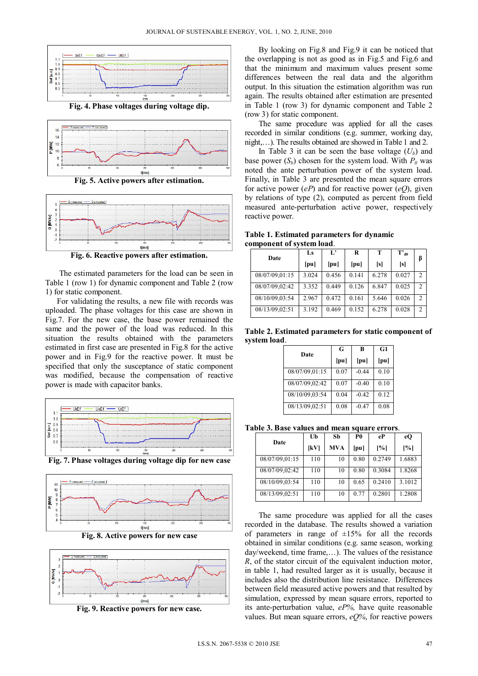

**Fig. 4. Phase voltages during voltage dip.** 





**Fig. 6. Reactive powers after estimation.**

The estimated parameters for the load can be seen in Table 1 (row 1) for dynamic component and Table 2 (row 1) for static component.

For validating the results, a new file with records was uploaded. The phase voltages for this case are shown in Fig.7. For the new case, the base power remained the same and the power of the load was reduced. In this situation the results obtained with the parameters estimated in first case are presented in Fig.8 for the active power and in Fig.9 for the reactive power. It must be specified that only the susceptance of static component was modified, because the compensation of reactive power is made with capacitor banks.





**Fig. 8. Active powers for new case** 



**Fig. 9. Reactive powers for new case.**

By looking on Fig.8 and Fig.9 it can be noticed that the overlapping is not as good as in Fig.5 and Fig.6 and that the minimum and maximum values present some differences between the real data and the algorithm output. In this situation the estimation algorithm was run again. The results obtained after estimation are presented in Table 1 (row 3) for dynamic component and Table 2 (row 3) for static component.

The same procedure was applied for all the cases recorded in similar conditions (e.g. summer, working day, night,…). The results obtained are showed in Table 1 and 2.

In Table 3 it can be seen the base voltage  $(U_b)$  and base power  $(S_b)$  chosen for the system load. With  $P_0$  was noted the ante perturbation power of the system load. Finally, in Table 3 are presented the mean square errors for active power  $(eP)$  and for reactive power  $(eQ)$ , given by relations of type (2), computed as percent from field measured ante-perturbation active power, respectively reactive power.

**Table 1. Estimated parameters for dynamic component of system load**.

| Date           | Ls    | $L^{\bullet}$ | R     | T     | $T'_{d0}$ |               |
|----------------|-------|---------------|-------|-------|-----------|---------------|
|                | [pu]  | [pu]          | [pu]  | [s]   | [s]       | ß             |
| 08/07/09.01:15 | 3.024 | 0.456         | 0.141 | 6.278 | 0.027     | $\mathcal{D}$ |
| 08/07/09.02:42 | 3.352 | 0.449         | 0.126 | 6.847 | 0.025     | $\mathcal{D}$ |
| 08/10/09.03:54 | 2.967 | 0.472         | 0.161 | 5.646 | 0.026     | $\mathcal{D}$ |
| 08/13/09.02:51 | 3.192 | 0.469         | 0.152 | 6.278 | 0.028     | $\mathcal{D}$ |

**Table 2. Estimated parameters for static component of system load**.

| Date           | G    | B       | G1   |
|----------------|------|---------|------|
|                | [pu] | [pu]    | [pu] |
| 08/07/09.01:15 | 0.07 | $-0.44$ | 0.10 |
| 08/07/09.02:42 | 0.07 | $-0.40$ | 0.10 |
| 08/10/09.03:54 | 0.04 | $-0.42$ | 0.12 |
| 08/13/09.02:51 | 0.08 | $-0.47$ | 0.08 |

**Table 3. Base values and mean square errors**.

| Date           | Ub   | Sb         | P0   | eP     | eO     |
|----------------|------|------------|------|--------|--------|
|                | [kV] | <b>MVA</b> | [pu] | [%]    | [%]    |
| 08/07/09.01:15 | 110  | 10         | 0.80 | 0.2749 | 1.6883 |
| 08/07/09.02:42 | 110  | 10         | 0.80 | 0.3084 | 1.8268 |
| 08/10/09.03:54 | 110  | 10         | 0.65 | 0.2410 | 3.1012 |
| 08/13/09.02:51 | 110  | 10         | 0.77 | 0.2801 | 1.2808 |

The same procedure was applied for all the cases recorded in the database. The results showed a variation of parameters in range of  $\pm 15\%$  for all the records obtained in similar conditions (e.g. same season, working day/weekend, time frame,…). The values of the resistance *R*, of the stator circuit of the equivalent induction motor, in table 1, had resulted larger as it is usually, because it includes also the distribution line resistance. Differences between field measured active powers and that resulted by simulation, expressed by mean square errors, reported to its ante-perturbation value, *eP%,* have quite reasonable values. But mean square errors, *eQ%*, for reactive powers